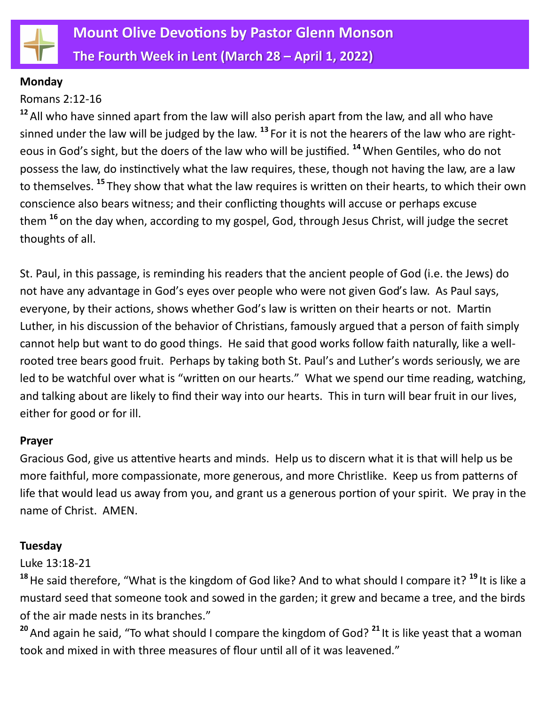

#### **Monday**

## Romans 2:12-16

**<sup>12</sup>**All who have sinned apart from the law will also perish apart from the law, and all who have sinned under the law will be judged by the law. **<sup>13</sup>** For it is not the hearers of the law who are righteous in God's sight, but the doers of the law who will be justified. **<sup>14</sup>**When Gentiles, who do not possess the law, do instinctively what the law requires, these, though not having the law, are a law to themselves. **<sup>15</sup>** They show that what the law requires is written on their hearts, to which their own conscience also bears witness; and their conflicting thoughts will accuse or perhaps excuse them **<sup>16</sup>** on the day when, according to my gospel, God, through Jesus Christ, will judge the secret thoughts of all.

St. Paul, in this passage, is reminding his readers that the ancient people of God (i.e. the Jews) do not have any advantage in God's eyes over people who were not given God's law. As Paul says, everyone, by their actions, shows whether God's law is written on their hearts or not. Martin Luther, in his discussion of the behavior of Christians, famously argued that a person of faith simply cannot help but want to do good things. He said that good works follow faith naturally, like a wellrooted tree bears good fruit. Perhaps by taking both St. Paul's and Luther's words seriously, we are led to be watchful over what is "written on our hearts." What we spend our time reading, watching, and talking about are likely to find their way into our hearts. This in turn will bear fruit in our lives, either for good or for ill.

#### **Prayer**

Gracious God, give us attentive hearts and minds. Help us to discern what it is that will help us be more faithful, more compassionate, more generous, and more Christlike. Keep us from patterns of life that would lead us away from you, and grant us a generous portion of your spirit. We pray in the name of Christ. AMEN.

## **Tuesday**

## Luke 13:18-21

**<sup>18</sup>**He said therefore, "What is the kingdom of God like? And to what should I compare it? **<sup>19</sup>** It is like a mustard seed that someone took and sowed in the garden; it grew and became a tree, and the birds of the air made nests in its branches."

**<sup>20</sup>**And again he said, "To what should I compare the kingdom of God? **<sup>21</sup>** It is like yeast that a woman took and mixed in with three measures of flour until all of it was leavened."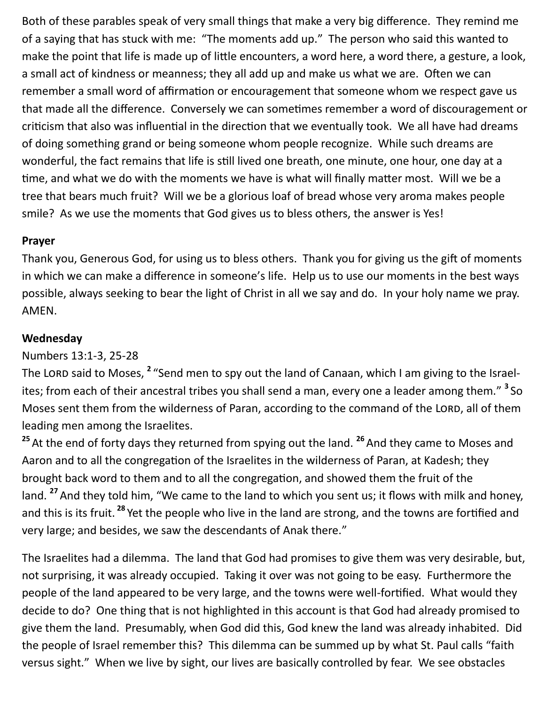Both of these parables speak of very small things that make a very big difference. They remind me of a saying that has stuck with me: "The moments add up." The person who said this wanted to make the point that life is made up of little encounters, a word here, a word there, a gesture, a look, a small act of kindness or meanness; they all add up and make us what we are. Often we can remember a small word of affirmation or encouragement that someone whom we respect gave us that made all the difference. Conversely we can sometimes remember a word of discouragement or criticism that also was influential in the direction that we eventually took. We all have had dreams of doing something grand or being someone whom people recognize. While such dreams are wonderful, the fact remains that life is still lived one breath, one minute, one hour, one day at a time, and what we do with the moments we have is what will finally matter most. Will we be a tree that bears much fruit? Will we be a glorious loaf of bread whose very aroma makes people smile? As we use the moments that God gives us to bless others, the answer is Yes!

## **Prayer**

Thank you, Generous God, for using us to bless others. Thank you for giving us the gift of moments in which we can make a difference in someone's life. Help us to use our moments in the best ways possible, always seeking to bear the light of Christ in all we say and do. In your holy name we pray. AMEN.

## **Wednesday**

Numbers 13:1-3, 25-28

The LORD said to Moses, <sup>2</sup> "Send men to spy out the land of Canaan, which I am giving to the Israelites; from each of their ancestral tribes you shall send a man, every one a leader among them." **3** So Moses sent them from the wilderness of Paran, according to the command of the LORD, all of them leading men among the Israelites.

<sup>25</sup> At the end of forty days they returned from spying out the land.<sup>26</sup> And they came to Moses and Aaron and to all the congregation of the Israelites in the wilderness of Paran, at Kadesh; they brought back word to them and to all the congregation, and showed them the fruit of the land. **<sup>27</sup>**And they told him, "We came to the land to which you sent us; it flows with milk and honey, and this is its fruit. **<sup>28</sup>** Yet the people who live in the land are strong, and the towns are fortified and very large; and besides, we saw the descendants of Anak there."

The Israelites had a dilemma. The land that God had promises to give them was very desirable, but, not surprising, it was already occupied. Taking it over was not going to be easy. Furthermore the people of the land appeared to be very large, and the towns were well-fortified. What would they decide to do? One thing that is not highlighted in this account is that God had already promised to give them the land. Presumably, when God did this, God knew the land was already inhabited. Did the people of Israel remember this? This dilemma can be summed up by what St. Paul calls "faith versus sight." When we live by sight, our lives are basically controlled by fear. We see obstacles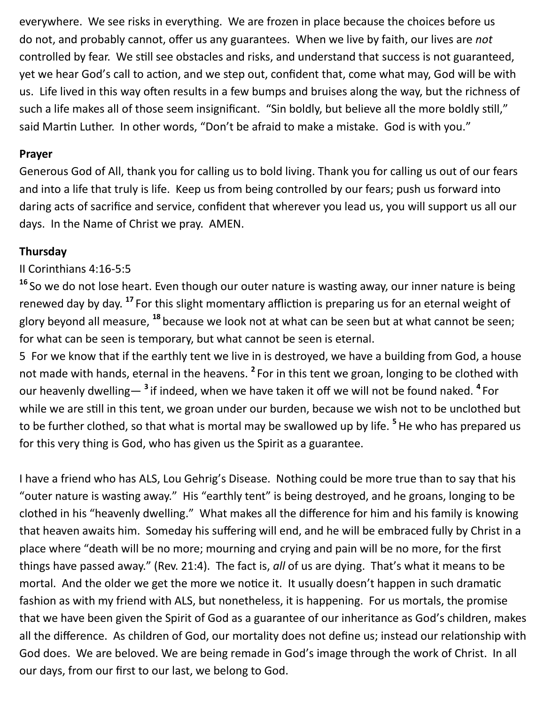everywhere. We see risks in everything. We are frozen in place because the choices before us do not, and probably cannot, offer us any guarantees. When we live by faith, our lives are *not* controlled by fear. We still see obstacles and risks, and understand that success is not guaranteed, yet we hear God's call to action, and we step out, confident that, come what may, God will be with us. Life lived in this way often results in a few bumps and bruises along the way, but the richness of such a life makes all of those seem insignificant. "Sin boldly, but believe all the more boldly still," said Martin Luther. In other words, "Don't be afraid to make a mistake. God is with you."

#### **Prayer**

Generous God of All, thank you for calling us to bold living. Thank you for calling us out of our fears and into a life that truly is life. Keep us from being controlled by our fears; push us forward into daring acts of sacrifice and service, confident that wherever you lead us, you will support us all our days. In the Name of Christ we pray. AMEN.

## **Thursday**

## II Corinthians 4:16-5:5

**<sup>16</sup>** So we do not lose heart. Even though our outer nature is wasting away, our inner nature is being renewed day by day. **<sup>17</sup>** For this slight momentary affliction is preparing us for an eternal weight of glory beyond all measure, **<sup>18</sup>** because we look not at what can be seen but at what cannot be seen; for what can be seen is temporary, but what cannot be seen is eternal.

5 For we know that if the earthly tent we live in is destroyed, we have a building from God, a house not made with hands, eternal in the heavens. **<sup>2</sup>** For in this tent we groan, longing to be clothed with our heavenly dwelling— <sup>3</sup> if indeed, when we have taken it off we will not be found naked. <sup>4</sup> For while we are still in this tent, we groan under our burden, because we wish not to be unclothed but to be further clothed, so that what is mortal may be swallowed up by life. **<sup>5</sup>** He who has prepared us for this very thing is God, who has given us the Spirit as a guarantee.

I have a friend who has ALS, Lou Gehrig's Disease. Nothing could be more true than to say that his "outer nature is wasting away." His "earthly tent" is being destroyed, and he groans, longing to be clothed in his "heavenly dwelling." What makes all the difference for him and his family is knowing that heaven awaits him. Someday his suffering will end, and he will be embraced fully by Christ in a place where "death will be no more; mourning and crying and pain will be no more, for the first things have passed away." (Rev. 21:4). The fact is, *all* of us are dying. That's what it means to be mortal. And the older we get the more we notice it. It usually doesn't happen in such dramatic fashion as with my friend with ALS, but nonetheless, it is happening. For us mortals, the promise that we have been given the Spirit of God as a guarantee of our inheritance as God's children, makes all the difference. As children of God, our mortality does not define us; instead our relationship with God does. We are beloved. We are being remade in God's image through the work of Christ. In all our days, from our first to our last, we belong to God.